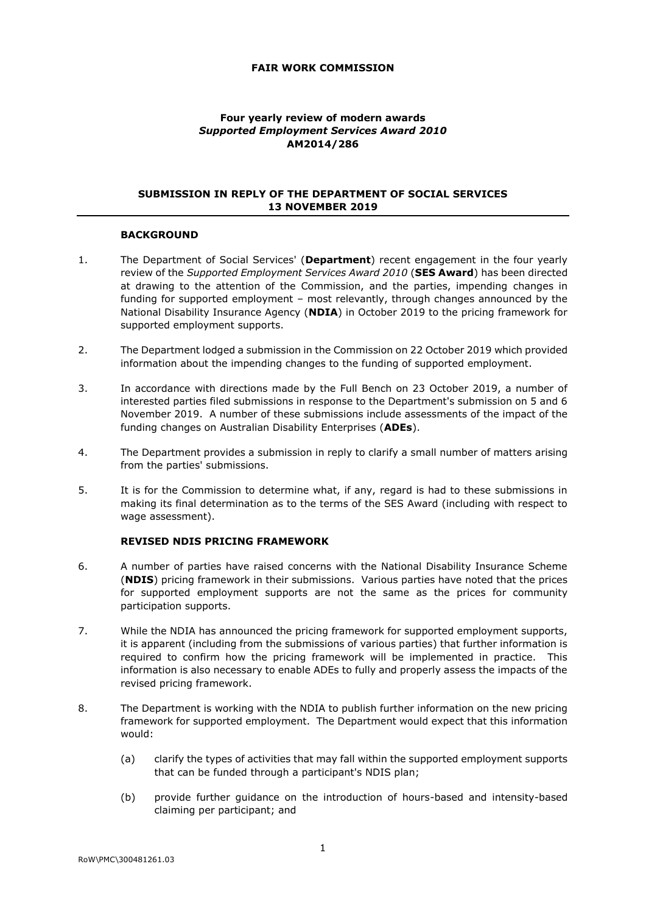#### **FAIR WORK COMMISSION**

# **Four yearly review of modern awards**  *Supported Employment Services Award 2010* **AM2014/286**

## **SUBMISSION IN REPLY OF THE DEPARTMENT OF SOCIAL SERVICES 13 NOVEMBER 2019**

#### **BACKGROUND**

- 1. The Department of Social Services' (**Department**) recent engagement in the four yearly review of the *Supported Employment Services Award 2010* (**SES Award**) has been directed at drawing to the attention of the Commission, and the parties, impending changes in funding for supported employment – most relevantly, through changes announced by the National Disability Insurance Agency (**NDIA**) in October 2019 to the pricing framework for supported employment supports.
- 2. The Department lodged a submission in the Commission on 22 October 2019 which provided information about the impending changes to the funding of supported employment.
- 3. In accordance with directions made by the Full Bench on 23 October 2019, a number of interested parties filed submissions in response to the Department's submission on 5 and 6 November 2019. A number of these submissions include assessments of the impact of the funding changes on Australian Disability Enterprises (**ADEs**).
- 4. The Department provides a submission in reply to clarify a small number of matters arising from the parties' submissions.
- 5. It is for the Commission to determine what, if any, regard is had to these submissions in making its final determination as to the terms of the SES Award (including with respect to wage assessment).

## **REVISED NDIS PRICING FRAMEWORK**

- 6. A number of parties have raised concerns with the National Disability Insurance Scheme (**NDIS**) pricing framework in their submissions. Various parties have noted that the prices for supported employment supports are not the same as the prices for community participation supports.
- 7. While the NDIA has announced the pricing framework for supported employment supports, it is apparent (including from the submissions of various parties) that further information is required to confirm how the pricing framework will be implemented in practice. This information is also necessary to enable ADEs to fully and properly assess the impacts of the revised pricing framework.
- 8. The Department is working with the NDIA to publish further information on the new pricing framework for supported employment. The Department would expect that this information would:
	- (a) clarify the types of activities that may fall within the supported employment supports that can be funded through a participant's NDIS plan;
	- (b) provide further guidance on the introduction of hours-based and intensity-based claiming per participant; and